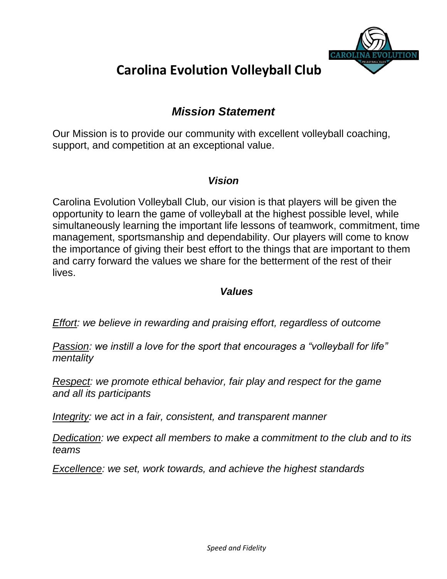

### *Mission Statement*

Our Mission is to provide our community with excellent volleyball coaching, support, and competition at an exceptional value.

### *Vision*

Carolina Evolution Volleyball Club, our vision is that players will be given the opportunity to learn the game of volleyball at the highest possible level, while simultaneously learning the important life lessons of teamwork, commitment, time management, sportsmanship and dependability. Our players will come to know the importance of giving their best effort to the things that are important to them and carry forward the values we share for the betterment of the rest of their lives.

### *Values*

*Effort: we believe in rewarding and praising effort, regardless of outcome*

*Passion: we instill a love for the sport that encourages a "volleyball for life" mentality*

*Respect: we promote ethical behavior, fair play and respect for the game and all its participants*

*Integrity: we act in a fair, consistent, and transparent manner*

*Dedication: we expect all members to make a commitment to the club and to its teams*

*Excellence: we set, work towards, and achieve the highest standards*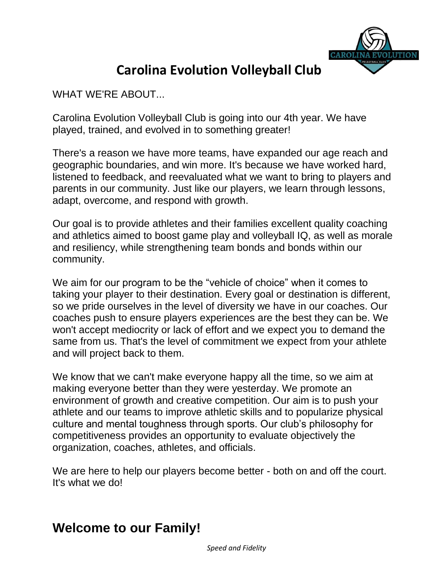

WHAT WE'RE ABOUT...

Carolina Evolution Volleyball Club is going into our 4th year. We have played, trained, and evolved in to something greater!

There's a reason we have more teams, have expanded our age reach and geographic boundaries, and win more. It's because we have worked hard, listened to feedback, and reevaluated what we want to bring to players and parents in our community. Just like our players, we learn through lessons, adapt, overcome, and respond with growth.

Our goal is to provide athletes and their families excellent quality coaching and athletics aimed to boost game play and volleyball IQ, as well as morale and resiliency, while strengthening team bonds and bonds within our community.

We aim for our program to be the "vehicle of choice" when it comes to taking your player to their destination. Every goal or destination is different, so we pride ourselves in the level of diversity we have in our coaches. Our coaches push to ensure players experiences are the best they can be. We won't accept mediocrity or lack of effort and we expect you to demand the same from us. That's the level of commitment we expect from your athlete and will project back to them.

We know that we can't make everyone happy all the time, so we aim at making everyone better than they were yesterday. We promote an environment of growth and creative competition. Our aim is to push your athlete and our teams to improve athletic skills and to popularize physical culture and mental toughness through sports. Our club's philosophy for competitiveness provides an opportunity to evaluate objectively the organization, coaches, athletes, and officials.

We are here to help our players become better - both on and off the court. It's what we do!

### **Welcome to our Family!**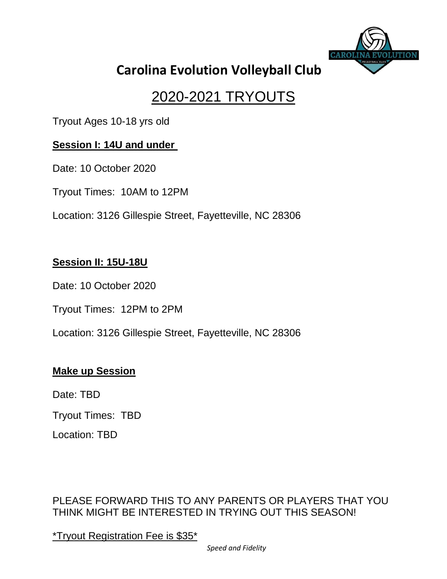

# 2020-2021 TRYOUTS

Tryout Ages 10-18 yrs old

### **Session I: 14U and under**

Date: 10 October 2020

Tryout Times: 10AM to 12PM

Location: 3126 Gillespie Street, Fayetteville, NC 28306

### **Session II: 15U-18U**

Date: 10 October 2020

Tryout Times: 12PM to 2PM

Location: 3126 Gillespie Street, Fayetteville, NC 28306

### **Make up Session**

Date: TBD

Tryout Times: TBD

Location: TBD

PLEASE FORWARD THIS TO ANY PARENTS OR PLAYERS THAT YOU THINK MIGHT BE INTERESTED IN TRYING OUT THIS SEASON!

\*Tryout Registration Fee is \$35\*

*Speed and Fidelity*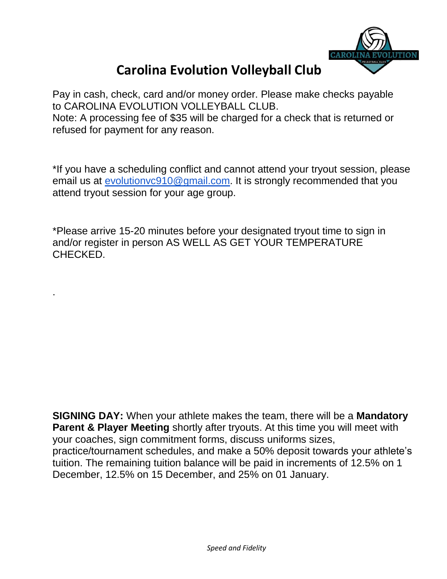

Pay in cash, check, card and/or money order. Please make checks payable to CAROLINA EVOLUTION VOLLEYBALL CLUB. Note: A processing fee of \$35 will be charged for a check that is returned or refused for payment for any reason.

\*If you have a scheduling conflict and cannot attend your tryout session, please email us at [evolutionvc910@gmail.com.](mailto:evolutionvc910@gmail.com) It is strongly recommended that you attend tryout session for your age group.

\*Please arrive 15-20 minutes before your designated tryout time to sign in and/or register in person AS WELL AS GET YOUR TEMPERATURE CHECKED.

.

**SIGNING DAY:** When your athlete makes the team, there will be a **Mandatory Parent & Player Meeting** shortly after tryouts. At this time you will meet with your coaches, sign commitment forms, discuss uniforms sizes, practice/tournament schedules, and make a 50% deposit towards your athlete's tuition. The remaining tuition balance will be paid in increments of 12.5% on 1 December, 12.5% on 15 December, and 25% on 01 January.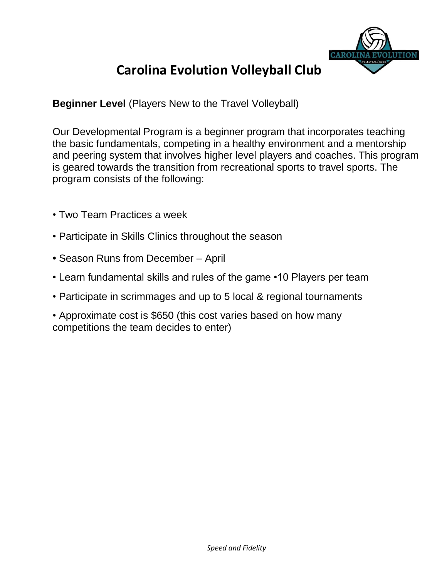

**Beginner Level** (Players New to the Travel Volleyball)

Our Developmental Program is a beginner program that incorporates teaching the basic fundamentals, competing in a healthy environment and a mentorship and peering system that involves higher level players and coaches. This program is geared towards the transition from recreational sports to travel sports. The program consists of the following:

- Two Team Practices a week
- Participate in Skills Clinics throughout the season
- **•** Season Runs from December April
- Learn fundamental skills and rules of the game •10 Players per team
- Participate in scrimmages and up to 5 local & regional tournaments
- Approximate cost is \$650 (this cost varies based on how many competitions the team decides to enter)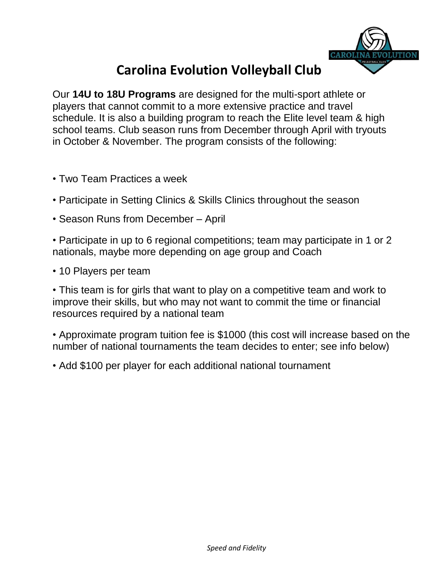

Our **14U to 18U Programs** are designed for the multi-sport athlete or players that cannot commit to a more extensive practice and travel schedule. It is also a building program to reach the Elite level team & high school teams. Club season runs from December through April with tryouts in October & November. The program consists of the following:

- Two Team Practices a week
- Participate in Setting Clinics & Skills Clinics throughout the season
- Season Runs from December April
- Participate in up to 6 regional competitions; team may participate in 1 or 2 nationals, maybe more depending on age group and Coach
- 10 Players per team

• This team is for girls that want to play on a competitive team and work to improve their skills, but who may not want to commit the time or financial resources required by a national team

• Approximate program tuition fee is \$1000 (this cost will increase based on the number of national tournaments the team decides to enter; see info below)

• Add \$100 per player for each additional national tournament